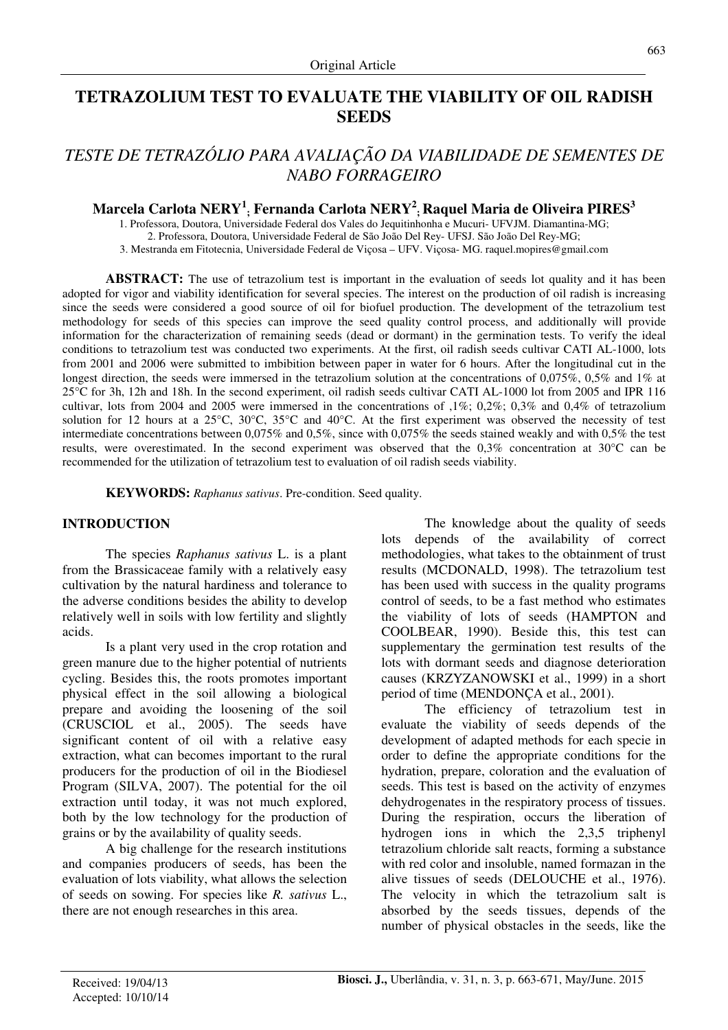# **TETRAZOLIUM TEST TO EVALUATE THE VIABILITY OF OIL RADISH SEEDS**

# *TESTE DE TETRAZÓLIO PARA AVALIAÇÃO DA VIABILIDADE DE SEMENTES DE NABO FORRAGEIRO*

**Marcela Carlota NERY<sup>1</sup> ; Fernanda Carlota NERY<sup>2</sup> ; Raquel Maria de Oliveira PIRES<sup>3</sup>**

1. Professora, Doutora, Universidade Federal dos Vales do Jequitinhonha e Mucuri- UFVJM. Diamantina-MG; 2. Professora, Doutora, Universidade Federal de São João Del Rey- UFSJ. São João Del Rey-MG; 3. Mestranda em Fitotecnia, Universidade Federal de Viçosa – UFV. Viçosa- MG. raquel.mopires@gmail.com

**ABSTRACT:** The use of tetrazolium test is important in the evaluation of seeds lot quality and it has been adopted for vigor and viability identification for several species. The interest on the production of oil radish is increasing since the seeds were considered a good source of oil for biofuel production. The development of the tetrazolium test methodology for seeds of this species can improve the seed quality control process, and additionally will provide information for the characterization of remaining seeds (dead or dormant) in the germination tests. To verify the ideal conditions to tetrazolium test was conducted two experiments. At the first, oil radish seeds cultivar CATI AL-1000, lots from 2001 and 2006 were submitted to imbibition between paper in water for 6 hours. After the longitudinal cut in the longest direction, the seeds were immersed in the tetrazolium solution at the concentrations of 0,075%, 0.5% and 1% at 25°C for 3h, 12h and 18h. In the second experiment, oil radish seeds cultivar CATI AL-1000 lot from 2005 and IPR 116 cultivar, lots from 2004 and 2005 were immersed in the concentrations of ,1%; 0,2%; 0,3% and 0,4% of tetrazolium solution for 12 hours at a 25°C, 30°C, 35°C and 40°C. At the first experiment was observed the necessity of test intermediate concentrations between 0,075% and 0,5%, since with 0,075% the seeds stained weakly and with 0,5% the test results, were overestimated. In the second experiment was observed that the 0,3% concentration at 30°C can be recommended for the utilization of tetrazolium test to evaluation of oil radish seeds viability.

**KEYWORDS:** *Raphanus sativus*. Pre-condition. Seed quality.

### **INTRODUCTION**

The species *Raphanus sativus* L. is a plant from the Brassicaceae family with a relatively easy cultivation by the natural hardiness and tolerance to the adverse conditions besides the ability to develop relatively well in soils with low fertility and slightly acids.

Is a plant very used in the crop rotation and green manure due to the higher potential of nutrients cycling. Besides this, the roots promotes important physical effect in the soil allowing a biological prepare and avoiding the loosening of the soil (CRUSCIOL et al., 2005). The seeds have significant content of oil with a relative easy extraction, what can becomes important to the rural producers for the production of oil in the Biodiesel Program (SILVA, 2007). The potential for the oil extraction until today, it was not much explored, both by the low technology for the production of grains or by the availability of quality seeds.

A big challenge for the research institutions and companies producers of seeds, has been the evaluation of lots viability, what allows the selection of seeds on sowing. For species like *R. sativus* L., there are not enough researches in this area.

The knowledge about the quality of seeds lots depends of the availability of correct methodologies, what takes to the obtainment of trust results (MCDONALD, 1998). The tetrazolium test has been used with success in the quality programs control of seeds, to be a fast method who estimates the viability of lots of seeds (HAMPTON and COOLBEAR, 1990). Beside this, this test can supplementary the germination test results of the lots with dormant seeds and diagnose deterioration causes (KRZYZANOWSKI et al., 1999) in a short period of time (MENDONÇA et al., 2001).

The efficiency of tetrazolium test in evaluate the viability of seeds depends of the development of adapted methods for each specie in order to define the appropriate conditions for the hydration, prepare, coloration and the evaluation of seeds. This test is based on the activity of enzymes dehydrogenates in the respiratory process of tissues. During the respiration, occurs the liberation of hydrogen ions in which the 2,3,5 triphenyl tetrazolium chloride salt reacts, forming a substance with red color and insoluble, named formazan in the alive tissues of seeds (DELOUCHE et al., 1976). The velocity in which the tetrazolium salt is absorbed by the seeds tissues, depends of the number of physical obstacles in the seeds, like the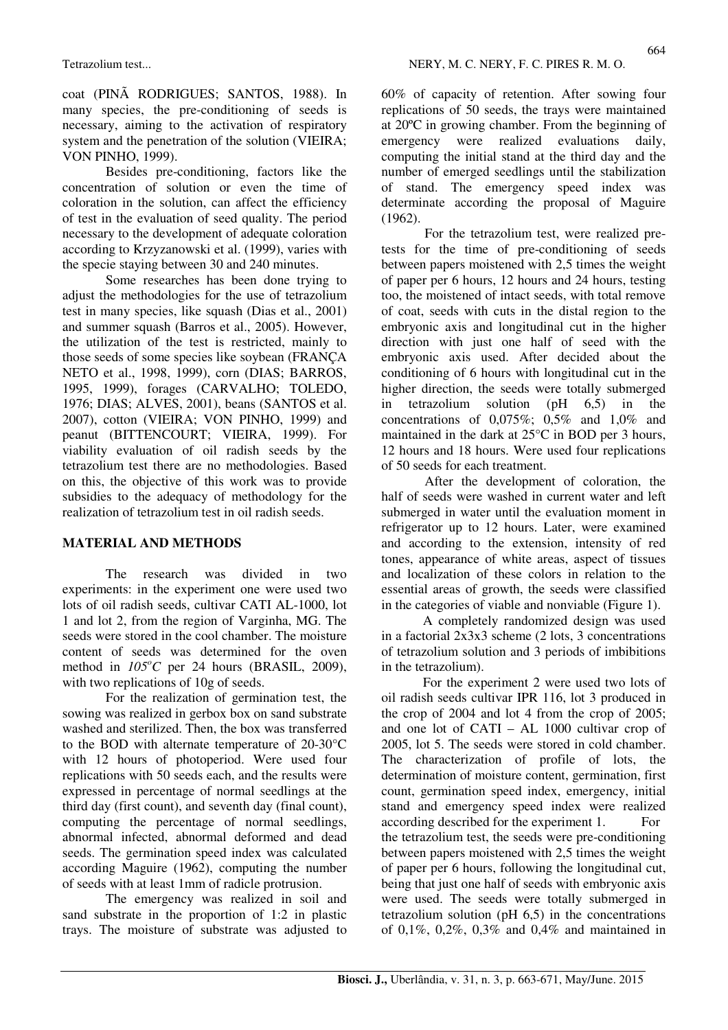coat (PINÃ RODRIGUES; SANTOS, 1988). In many species, the pre-conditioning of seeds is necessary, aiming to the activation of respiratory system and the penetration of the solution (VIEIRA; VON PINHO, 1999).

Besides pre-conditioning, factors like the concentration of solution or even the time of coloration in the solution, can affect the efficiency of test in the evaluation of seed quality. The period necessary to the development of adequate coloration according to Krzyzanowski et al. (1999), varies with the specie staying between 30 and 240 minutes.

Some researches has been done trying to adjust the methodologies for the use of tetrazolium test in many species, like squash (Dias et al., 2001) and summer squash (Barros et al., 2005). However, the utilization of the test is restricted, mainly to those seeds of some species like soybean (FRANÇA NETO et al., 1998, 1999), corn (DIAS; BARROS, 1995, 1999), forages (CARVALHO; TOLEDO, 1976; DIAS; ALVES, 2001), beans (SANTOS et al. 2007), cotton (VIEIRA; VON PINHO, 1999) and peanut (BITTENCOURT; VIEIRA, 1999). For viability evaluation of oil radish seeds by the tetrazolium test there are no methodologies. Based on this, the objective of this work was to provide subsidies to the adequacy of methodology for the realization of tetrazolium test in oil radish seeds.

#### **MATERIAL AND METHODS**

The research was divided in two experiments: in the experiment one were used two lots of oil radish seeds, cultivar CATI AL-1000, lot 1 and lot 2, from the region of Varginha, MG. The seeds were stored in the cool chamber. The moisture content of seeds was determined for the oven method in *105<sup>o</sup>C* per 24 hours (BRASIL, 2009), with two replications of 10g of seeds.

For the realization of germination test, the sowing was realized in gerbox box on sand substrate washed and sterilized. Then, the box was transferred to the BOD with alternate temperature of 20-30°C with 12 hours of photoperiod. Were used four replications with 50 seeds each, and the results were expressed in percentage of normal seedlings at the third day (first count), and seventh day (final count), computing the percentage of normal seedlings, abnormal infected, abnormal deformed and dead seeds. The germination speed index was calculated according Maguire (1962), computing the number of seeds with at least 1mm of radicle protrusion.

The emergency was realized in soil and sand substrate in the proportion of 1:2 in plastic trays. The moisture of substrate was adjusted to 60% of capacity of retention. After sowing four replications of 50 seeds, the trays were maintained at 20ºC in growing chamber. From the beginning of emergency were realized evaluations daily, computing the initial stand at the third day and the number of emerged seedlings until the stabilization of stand. The emergency speed index was determinate according the proposal of Maguire (1962).

For the tetrazolium test, were realized pretests for the time of pre-conditioning of seeds between papers moistened with 2,5 times the weight of paper per 6 hours, 12 hours and 24 hours, testing too, the moistened of intact seeds, with total remove of coat, seeds with cuts in the distal region to the embryonic axis and longitudinal cut in the higher direction with just one half of seed with the embryonic axis used. After decided about the conditioning of 6 hours with longitudinal cut in the higher direction, the seeds were totally submerged in tetrazolium solution (pH 6,5) in the concentrations of 0,075%; 0,5% and 1,0% and maintained in the dark at 25°C in BOD per 3 hours, 12 hours and 18 hours. Were used four replications of 50 seeds for each treatment.

After the development of coloration, the half of seeds were washed in current water and left submerged in water until the evaluation moment in refrigerator up to 12 hours. Later, were examined and according to the extension, intensity of red tones, appearance of white areas, aspect of tissues and localization of these colors in relation to the essential areas of growth, the seeds were classified in the categories of viable and nonviable (Figure 1).

A completely randomized design was used in a factorial 2x3x3 scheme (2 lots, 3 concentrations of tetrazolium solution and 3 periods of imbibitions in the tetrazolium).

For the experiment 2 were used two lots of oil radish seeds cultivar IPR 116, lot 3 produced in the crop of 2004 and lot 4 from the crop of 2005; and one lot of CATI – AL 1000 cultivar crop of 2005, lot 5. The seeds were stored in cold chamber. The characterization of profile of lots, the determination of moisture content, germination, first count, germination speed index, emergency, initial stand and emergency speed index were realized according described for the experiment 1. For the tetrazolium test, the seeds were pre-conditioning between papers moistened with 2,5 times the weight of paper per 6 hours, following the longitudinal cut, being that just one half of seeds with embryonic axis were used. The seeds were totally submerged in tetrazolium solution (pH 6,5) in the concentrations of 0,1%, 0,2%, 0,3% and 0,4% and maintained in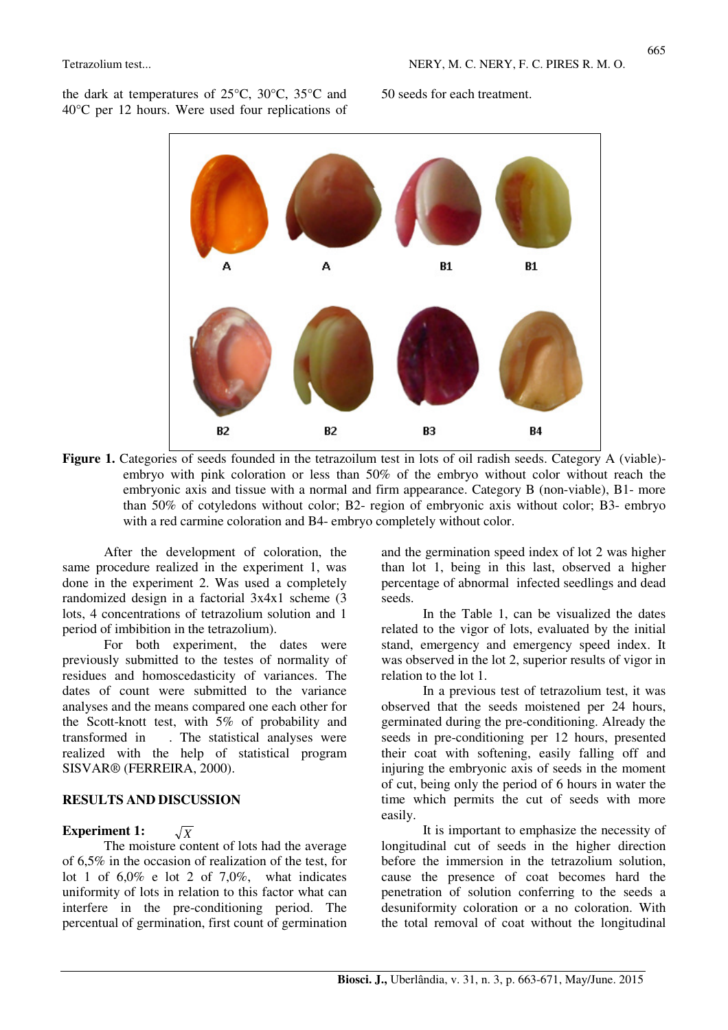the dark at temperatures of 25°C, 30°C, 35°C and 40°C per 12 hours. Were used four replications of 50 seeds for each treatment.



**Figure 1.** Categories of seeds founded in the tetrazoilum test in lots of oil radish seeds. Category A (viable)embryo with pink coloration or less than 50% of the embryo without color without reach the embryonic axis and tissue with a normal and firm appearance. Category B (non-viable), B1- more than 50% of cotyledons without color; B2- region of embryonic axis without color; B3- embryo with a red carmine coloration and B4- embryo completely without color.

After the development of coloration, the same procedure realized in the experiment 1, was done in the experiment 2. Was used a completely randomized design in a factorial 3x4x1 scheme (3 lots, 4 concentrations of tetrazolium solution and 1 period of imbibition in the tetrazolium).

For both experiment, the dates were previously submitted to the testes of normality of residues and homoscedasticity of variances. The dates of count were submitted to the variance analyses and the means compared one each other for the Scott-knott test, with 5% of probability and transformed in . The statistical analyses were realized with the help of statistical program SISVAR® (FERREIRA, 2000).

#### **RESULTS AND DISCUSSION**

#### **Experiment 1:**

The moisture content of lots had the average of 6,5% in the occasion of realization of the test, for lot 1 of 6,0% e lot 2 of 7,0%, what indicates uniformity of lots in relation to this factor what can interfere in the pre-conditioning period. The percentual of germination, first count of germination

 $\sqrt{X}$ 

and the germination speed index of lot 2 was higher than lot 1, being in this last, observed a higher percentage of abnormal infected seedlings and dead seeds.

In the Table 1, can be visualized the dates related to the vigor of lots, evaluated by the initial stand, emergency and emergency speed index. It was observed in the lot 2, superior results of vigor in relation to the lot 1.

In a previous test of tetrazolium test, it was observed that the seeds moistened per 24 hours, germinated during the pre-conditioning. Already the seeds in pre-conditioning per 12 hours, presented their coat with softening, easily falling off and injuring the embryonic axis of seeds in the moment of cut, being only the period of 6 hours in water the time which permits the cut of seeds with more easily.

It is important to emphasize the necessity of longitudinal cut of seeds in the higher direction before the immersion in the tetrazolium solution, cause the presence of coat becomes hard the penetration of solution conferring to the seeds a desuniformity coloration or a no coloration. With the total removal of coat without the longitudinal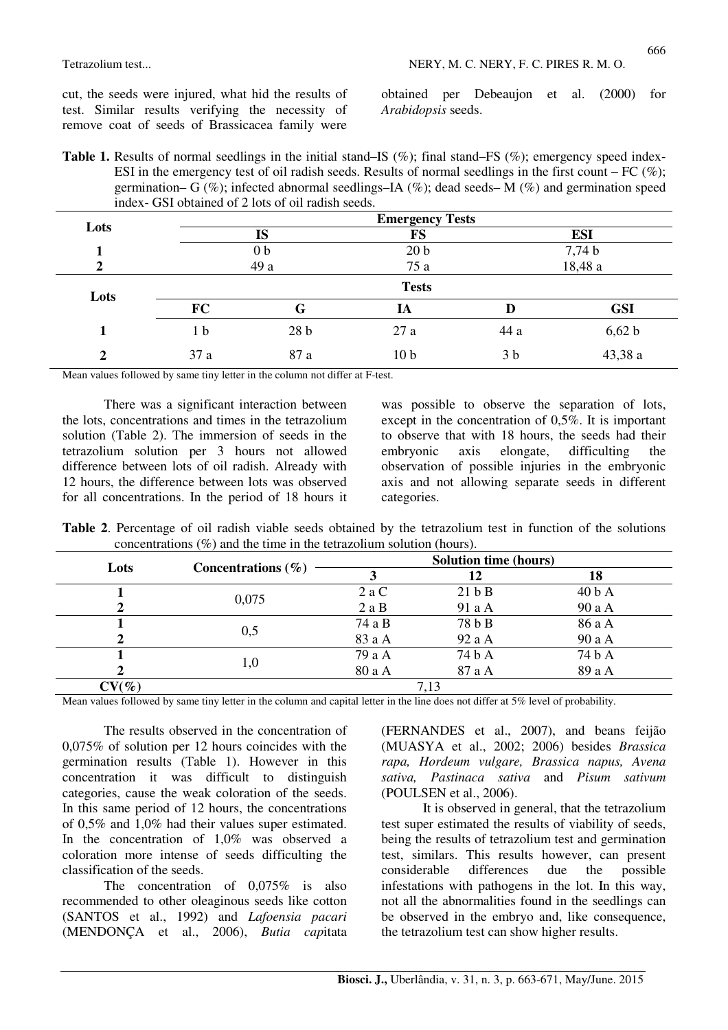obtained per Debeaujon et al. (2000) for *Arabidopsis* seeds.

**Table 1.** Results of normal seedlings in the initial stand–IS (%); final stand–FS (%); emergency speed index-ESI in the emergency test of oil radish seeds. Results of normal seedlings in the first count – FC  $(\%)$ ; germination–  $G(\%)$ ; infected abnormal seedlings–IA (%); dead seeds– M (%) and germination speed index- GSI obtained of 2 lots of oil radish seeds.

| Lots           | <b>Emergency Tests</b> |                 |                 |                |            |  |
|----------------|------------------------|-----------------|-----------------|----------------|------------|--|
|                |                        | <b>IS</b>       | FS              |                | <b>ESI</b> |  |
|                | 0 <sub>b</sub>         |                 | 20 <sub>b</sub> |                | 7,74b      |  |
|                |                        | 49 a            | 75 a            | 18,48 a        |            |  |
| Lots           | <b>Tests</b>           |                 |                 |                |            |  |
|                | <b>FC</b>              | G               | IA              | D              | <b>GSI</b> |  |
|                | 1 <sub>b</sub>         | 28 <sub>b</sub> | 27a             | 44 a           | 6,62 b     |  |
| $\overline{2}$ | 37a                    | 87 a            | 10 <sub>b</sub> | 3 <sub>b</sub> | 43,38 a    |  |

Mean values followed by same tiny letter in the column not differ at F-test.

There was a significant interaction between the lots, concentrations and times in the tetrazolium solution (Table 2). The immersion of seeds in the tetrazolium solution per 3 hours not allowed difference between lots of oil radish. Already with 12 hours, the difference between lots was observed for all concentrations. In the period of 18 hours it was possible to observe the separation of lots, except in the concentration of 0,5%. It is important to observe that with 18 hours, the seeds had their embryonic axis elongate, difficulting the observation of possible injuries in the embryonic axis and not allowing separate seeds in different categories.

**Table 2**. Percentage of oil radish viable seeds obtained by the tetrazolium test in function of the solutions concentrations (%) and the time in the tetrazolium solution (hours).

| Lots     | Concentrations $(\% )$ | <b>Solution time (hours)</b> |        |        |  |
|----------|------------------------|------------------------------|--------|--------|--|
|          |                        |                              | 12     | 18     |  |
|          |                        | 2aC                          | 21 b B | 40 b A |  |
|          | 0,075                  | 2aB                          | 91 a A | 90 a A |  |
|          |                        | 74 a B                       | 78 b B | 86 a A |  |
|          | 0,5                    | 83 a A                       | 92 a A | 90 a A |  |
|          |                        | 79 a A                       | 74 b A | 74 b A |  |
|          | 1,0                    | 80 a A                       | 87 a A | 89 a A |  |
| $CV(\%)$ |                        |                              |        |        |  |

Mean values followed by same tiny letter in the column and capital letter in the line does not differ at 5% level of probability.

The results observed in the concentration of 0,075% of solution per 12 hours coincides with the germination results (Table 1). However in this concentration it was difficult to distinguish categories, cause the weak coloration of the seeds. In this same period of 12 hours, the concentrations of 0,5% and 1,0% had their values super estimated. In the concentration of 1,0% was observed a coloration more intense of seeds difficulting the classification of the seeds.

The concentration of 0,075% is also recommended to other oleaginous seeds like cotton (SANTOS et al., 1992) and *Lafoensia pacari* (MENDONÇA et al., 2006), *Butia cap*itata (FERNANDES et al., 2007), and beans feijão (MUASYA et al., 2002; 2006) besides *Brassica rapa, Hordeum vulgare, Brassica napus, Avena sativa, Pastinaca sativa* and *Pisum sativum*  (POULSEN et al., 2006).

It is observed in general, that the tetrazolium test super estimated the results of viability of seeds, being the results of tetrazolium test and germination test, similars. This results however, can present considerable differences due the possible infestations with pathogens in the lot. In this way, not all the abnormalities found in the seedlings can be observed in the embryo and, like consequence, the tetrazolium test can show higher results.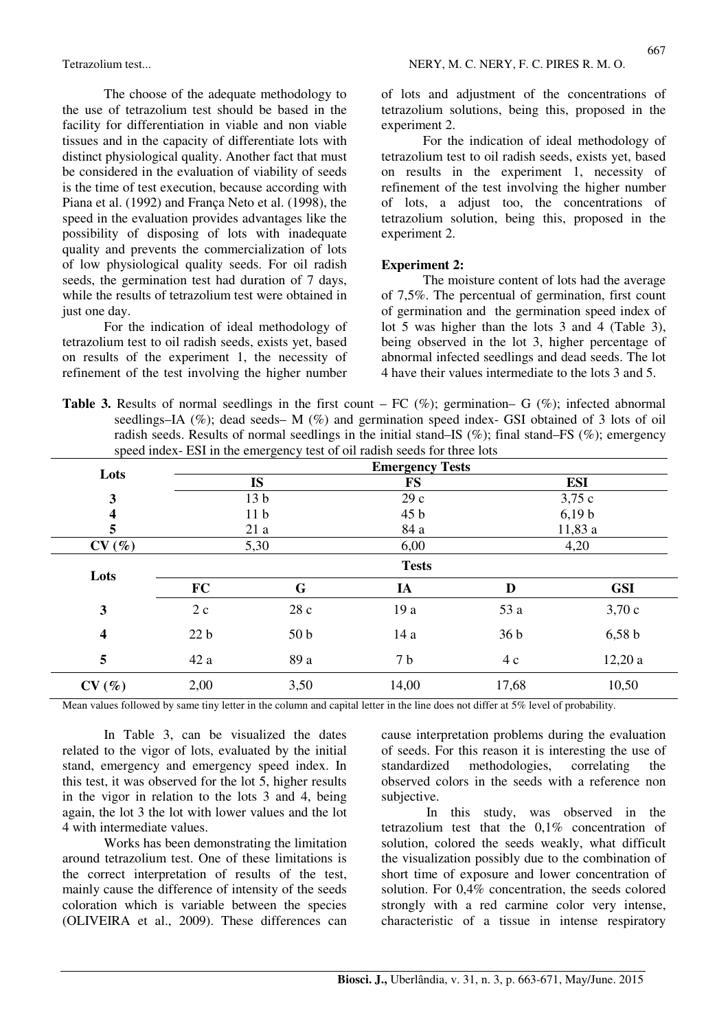The choose of the adequate methodology to the use of tetrazolium test should be based in the facility for differentiation in viable and non viable tissues and in the capacity of differentiate lots with distinct physiological quality. Another fact that must be considered in the evaluation of viability of seeds is the time of test execution, because according with Piana et al. (1992) and França Neto et al. (1998), the speed in the evaluation provides advantages like the possibility of disposing of lots with inadequate quality and prevents the commercialization of lots of low physiological quality seeds. For oil radish seeds, the germination test had duration of 7 days, while the results of tetrazolium test were obtained in just one day.

For the indication of ideal methodology of tetrazolium test to oil radish seeds, exists yet, based on results of the experiment 1, the necessity of refinement of the test involving the higher number of lots and adjustment of the concentrations of tetrazolium solutions, being this, proposed in the experiment 2.

For the indication of ideal methodology of tetrazolium test to oil radish seeds, exists yet, based on results in the experiment 1, necessity of refinement of the test involving the higher number of lots, a adjust too, the concentrations of tetrazolium solution, being this, proposed in the experiment 2.

### **Experiment 2:**

The moisture content of lots had the average of 7,5%. The percentual of germination, first count of germination and the germination speed index of lot 5 was higher than the lots 3 and 4 (Table 3), being observed in the lot 3, higher percentage of abnormal infected seedlings and dead seeds. The lot 4 have their values intermediate to the lots 3 and 5.

**Table 3.** Results of normal seedlings in the first count – FC  $(\%)$ ; germination– G  $(\%)$ ; infected abnormal seedlings–IA (%); dead seeds– M (%) and germination speed index- GSI obtained of 3 lots of oil radish seeds. Results of normal seedlings in the initial stand–IS (%); final stand–FS (%); emergency speed index- ESI in the emergency test of oil radish seeds for three lots

| Lots                    | $\sqrt{2}$<br><b>Emergency Tests</b> |                 |                |                 |            |  |
|-------------------------|--------------------------------------|-----------------|----------------|-----------------|------------|--|
|                         | <b>IS</b>                            |                 | <b>FS</b>      |                 | <b>ESI</b> |  |
| 3                       | 13 <sub>b</sub>                      |                 | 29c            |                 | 3,75c      |  |
| $\overline{\mathbf{4}}$ | 11 <sub>b</sub>                      |                 | 45 b           |                 | 6,19 b     |  |
| 5                       | 21a                                  |                 | 84 a           | 11,83a          |            |  |
| CV(%)                   | 5,30<br>6,00                         |                 |                | 4,20            |            |  |
| Lots                    | <b>Tests</b>                         |                 |                |                 |            |  |
|                         | <b>FC</b>                            | G               | IA             | D               | <b>GSI</b> |  |
| $\mathbf{3}$            | 2c                                   | 28c             | 19 a           | 53 a            | 3,70c      |  |
| $\overline{\mathbf{4}}$ | 22 <sub>b</sub>                      | 50 <sub>b</sub> | 14 a           | 36 <sub>b</sub> | 6,58b      |  |
| 5                       | 42a                                  | 89 a            | 7 <sub>b</sub> | 4c              | 12,20a     |  |
| CV(%)                   | 2,00                                 | 3,50            | 14,00          | 17,68           | 10,50      |  |

Mean values followed by same tiny letter in the column and capital letter in the line does not differ at 5% level of probability.

In Table 3, can be visualized the dates related to the vigor of lots, evaluated by the initial stand, emergency and emergency speed index. In this test, it was observed for the lot 5, higher results in the vigor in relation to the lots 3 and 4, being again, the lot 3 the lot with lower values and the lot 4 with intermediate values.

Works has been demonstrating the limitation around tetrazolium test. One of these limitations is the correct interpretation of results of the test, mainly cause the difference of intensity of the seeds coloration which is variable between the species (OLIVEIRA et al., 2009). These differences can cause interpretation problems during the evaluation of seeds. For this reason it is interesting the use of standardized methodologies, correlating the observed colors in the seeds with a reference non subjective.

 In this study, was observed in the tetrazolium test that the 0,1% concentration of solution, colored the seeds weakly, what difficult the visualization possibly due to the combination of short time of exposure and lower concentration of solution. For 0,4% concentration, the seeds colored strongly with a red carmine color very intense, characteristic of a tissue in intense respiratory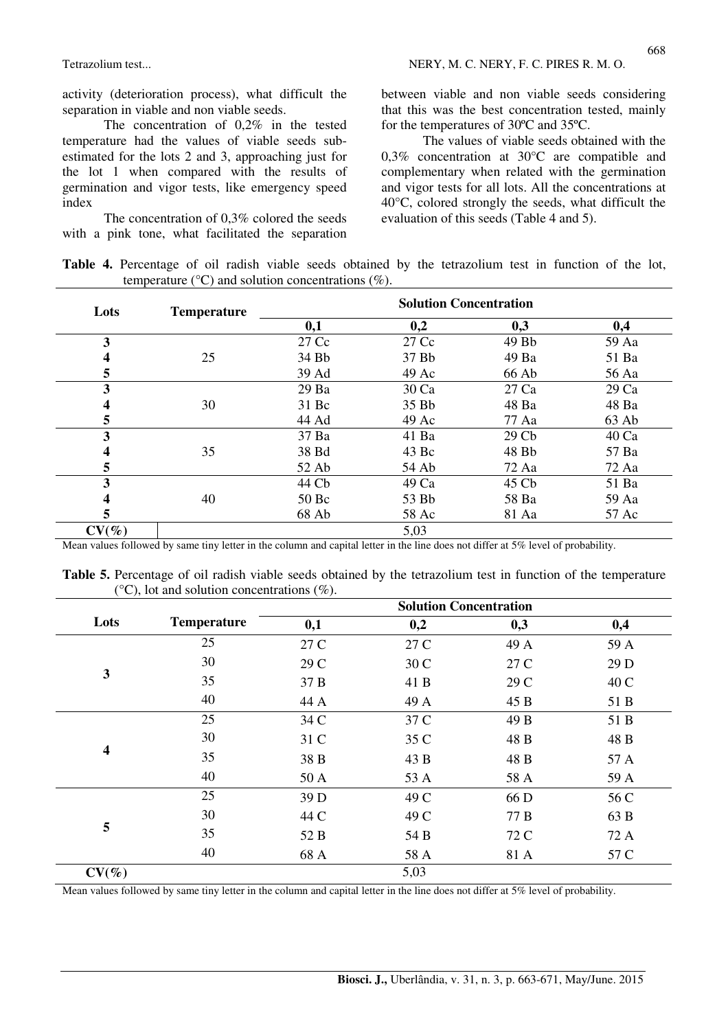activity (deterioration process), what difficult the separation in viable and non viable seeds.

The concentration of 0,2% in the tested temperature had the values of viable seeds subestimated for the lots 2 and 3, approaching just for the lot 1 when compared with the results of germination and vigor tests, like emergency speed index

The concentration of 0,3% colored the seeds with a pink tone, what facilitated the separation between viable and non viable seeds considering that this was the best concentration tested, mainly for the temperatures of 30ºC and 35ºC.

The values of viable seeds obtained with the 0,3% concentration at 30°C are compatible and complementary when related with the germination and vigor tests for all lots. All the concentrations at 40°C, colored strongly the seeds, what difficult the evaluation of this seeds (Table 4 and 5).

**Table 4.** Percentage of oil radish viable seeds obtained by the tetrazolium test in function of the lot, temperature ( $\degree$ C) and solution concentrations ( $\%$ ).

| Lots     | <b>Temperature</b> | <b>Solution Concentration</b> |       |                  |       |
|----------|--------------------|-------------------------------|-------|------------------|-------|
|          |                    | 0,1                           | 0,2   | 0,3              | 0,4   |
| 3        |                    | 27 Cc                         | 27 Cc | 49 Bb            | 59 Aa |
| 4        | 25                 | 34 Bb                         | 37 Bb | 49 Ba            | 51 Ba |
| 5        |                    | 39 Ad                         | 49 Ac | 66 Ab            | 56 Aa |
| 3        |                    | 29 Ba                         | 30 Ca | 27 Ca            | 29 Ca |
| 4        | 30                 | 31 Bc                         | 35 Bb | 48 Ba            | 48 Ba |
| 5        |                    | 44 Ad                         | 49 Ac | 77 Aa            | 63 Ab |
| 3        | 35                 | 37 Ba                         | 41 Ba | 29 <sub>Ch</sub> | 40 Ca |
| 4        |                    | 38 Bd                         | 43 Bc | 48 Bb            | 57 Ba |
| 5        |                    | 52 Ab                         | 54 Ab | 72 Aa            | 72 Aa |
| 3        |                    | 44 Cb                         | 49 Ca | 45 Cb            | 51 Ba |
| 4        | 40                 | 50Bc                          | 53 Bb | 58 Ba            | 59 Aa |
| 5        |                    | 68 Ab                         | 58 Ac | 81 Aa            | 57 Ac |
| $CV(\%)$ |                    |                               | 5,03  |                  |       |

Mean values followed by same tiny letter in the column and capital letter in the line does not differ at 5% level of probability.

**Table 5.** Percentage of oil radish viable seeds obtained by the tetrazolium test in function of the temperature  $(^{\circ}C)$ , lot and solution concentrations  $(\% )$ .

|                         |                    | <b>Solution Concentration</b> |      |      |      |
|-------------------------|--------------------|-------------------------------|------|------|------|
| Lots                    | <b>Temperature</b> | 0,1                           | 0,2  | 0,3  | 0,4  |
|                         | 25                 | 27 C                          | 27 C | 49 A | 59 A |
|                         | 30                 | 29 C                          | 30 C | 27 C | 29 D |
| 3                       | 35                 | 37 B                          | 41 B | 29 C | 40 C |
|                         | 40                 | 44 A                          | 49 A | 45 B | 51 B |
|                         | 25                 | 34 C                          | 37 C | 49 B | 51 B |
|                         | 30                 | 31 C                          | 35 C | 48 B | 48 B |
| $\overline{\mathbf{4}}$ | 35                 | 38 B                          | 43 B | 48 B | 57 A |
|                         | 40                 | 50 A                          | 53 A | 58 A | 59 A |
|                         | 25                 | 39 D                          | 49 C | 66 D | 56 C |
|                         | 30                 | 44 C                          | 49 C | 77 B | 63 B |
| 5                       | 35                 | 52 B                          | 54 B | 72 C | 72 A |
|                         | 40                 | 68 A                          | 58 A | 81 A | 57 C |
| $CV(\%)$                |                    |                               | 5,03 |      |      |

Mean values followed by same tiny letter in the column and capital letter in the line does not differ at 5% level of probability.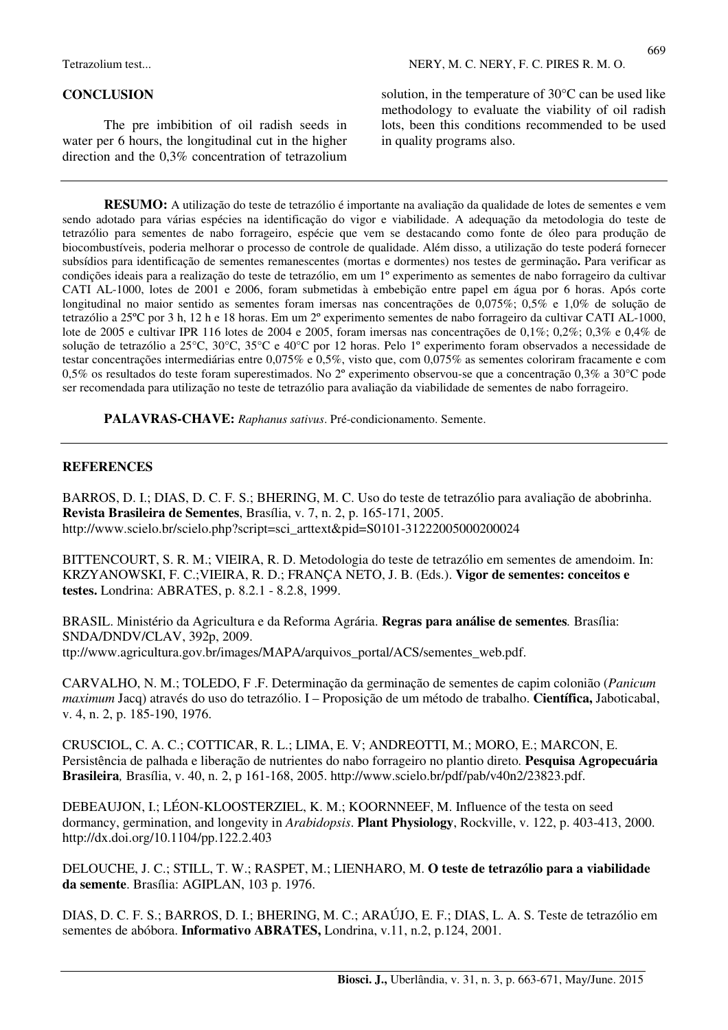#### **CONCLUSION**

The pre imbibition of oil radish seeds in water per 6 hours, the longitudinal cut in the higher direction and the 0,3% concentration of tetrazolium solution, in the temperature of 30°C can be used like methodology to evaluate the viability of oil radish lots, been this conditions recommended to be used in quality programs also.

**RESUMO:** A utilização do teste de tetrazólio é importante na avaliação da qualidade de lotes de sementes e vem sendo adotado para várias espécies na identificação do vigor e viabilidade. A adequação da metodologia do teste de tetrazólio para sementes de nabo forrageiro, espécie que vem se destacando como fonte de óleo para produção de biocombustíveis, poderia melhorar o processo de controle de qualidade. Além disso, a utilização do teste poderá fornecer subsídios para identificação de sementes remanescentes (mortas e dormentes) nos testes de germinação**.** Para verificar as condições ideais para a realização do teste de tetrazólio, em um 1º experimento as sementes de nabo forrageiro da cultivar CATI AL-1000, lotes de 2001 e 2006, foram submetidas à embebição entre papel em água por 6 horas. Após corte longitudinal no maior sentido as sementes foram imersas nas concentrações de 0,075%; 0,5% e 1,0% de solução de tetrazólio a 25ºC por 3 h, 12 h e 18 horas. Em um 2º experimento sementes de nabo forrageiro da cultivar CATI AL-1000, lote de 2005 e cultivar IPR 116 lotes de 2004 e 2005, foram imersas nas concentrações de 0,1%; 0,2%; 0,3% e 0,4% de solução de tetrazólio a 25°C, 30°C, 35°C e 40°C por 12 horas. Pelo 1º experimento foram observados a necessidade de testar concentrações intermediárias entre 0,075% e 0,5%, visto que, com 0,075% as sementes coloriram fracamente e com 0,5% os resultados do teste foram superestimados. No 2º experimento observou-se que a concentração 0,3% a 30°C pode ser recomendada para utilização no teste de tetrazólio para avaliação da viabilidade de sementes de nabo forrageiro.

**PALAVRAS-CHAVE:** *Raphanus sativus*. Pré-condicionamento. Semente.

#### **REFERENCES**

BARROS, D. I.; DIAS, D. C. F. S.; BHERING, M. C. Uso do teste de tetrazólio para avaliação de abobrinha. **Revista Brasileira de Sementes**, Brasília, v. 7, n. 2, p. 165-171, 2005. http://www.scielo.br/scielo.php?script=sci\_arttext&pid=S0101-31222005000200024

BITTENCOURT, S. R. M.; VIEIRA, R. D. Metodologia do teste de tetrazólio em sementes de amendoim. In: KRZYANOWSKI, F. C.;VIEIRA, R. D.; FRANÇA NETO, J. B. (Eds.). **Vigor de sementes: conceitos e testes.** Londrina: ABRATES, p. 8.2.1 - 8.2.8, 1999.

BRASIL. Ministério da Agricultura e da Reforma Agrária. **Regras para análise de sementes***.* Brasília: SNDA/DNDV/CLAV, 392p, 2009. ttp://www.agricultura.gov.br/images/MAPA/arquivos\_portal/ACS/sementes\_web.pdf.

CARVALHO, N. M.; TOLEDO, F .F. Determinação da germinação de sementes de capim colonião (*Panicum maximum* Jacq) através do uso do tetrazólio. I – Proposição de um método de trabalho. **Científica,** Jaboticabal, v. 4, n. 2, p. 185-190, 1976.

CRUSCIOL, C. A. C.; COTTICAR, R. L.; LIMA, E. V; ANDREOTTI, M.; MORO, E.; MARCON, E. Persistência de palhada e liberação de nutrientes do nabo forrageiro no plantio direto*.* **Pesquisa Agropecuária Brasileira***,* Brasília, v. 40, n. 2, p 161-168, 2005. http://www.scielo.br/pdf/pab/v40n2/23823.pdf.

DEBEAUJON, I.; LÉON-KLOOSTERZIEL, K. M.; KOORNNEEF, M. Influence of the testa on seed dormancy, germination, and longevity in *Arabidopsis*. **Plant Physiology**, Rockville, v. 122, p. 403-413, 2000. http://dx.doi.org/10.1104/pp.122.2.403

DELOUCHE, J. C.; STILL, T. W.; RASPET, M.; LIENHARO, M. **O teste de tetrazólio para a viabilidade da semente**. Brasília: AGIPLAN, 103 p. 1976.

DIAS, D. C. F. S.; BARROS, D. I.; BHERING, M. C.; ARAÚJO, E. F.; DIAS, L. A. S. Teste de tetrazólio em sementes de abóbora. **Informativo ABRATES,** Londrina, v.11, n.2, p.124, 2001.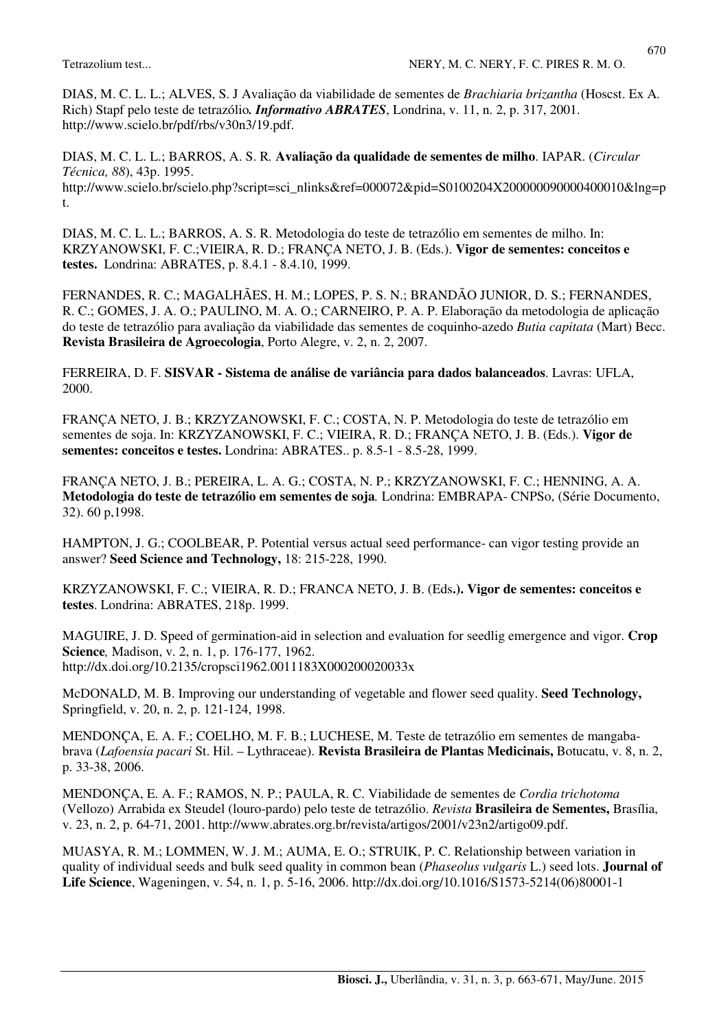DIAS, M. C. L. L.; ALVES, S. J Avaliação da viabilidade de sementes de *Brachiaria brizantha* (Hoscst. Ex A. Rich) Stapf pelo teste de tetrazólio*. Informativo ABRATES*, Londrina, v. 11, n. 2, p. 317, 2001. http://www.scielo.br/pdf/rbs/v30n3/19.pdf.

DIAS, M. C. L. L.; BARROS, A. S. R*.* **Avaliação da qualidade de sementes de milho**. IAPAR. (*Circular Técnica, 88*), 43p. 1995. http://www.scielo.br/scielo.php?script=sci\_nlinks&ref=000072&pid=S0100204X200000090000400010&lng=p t.

DIAS, M. C. L. L.; BARROS, A. S. R. Metodologia do teste de tetrazólio em sementes de milho. In: KRZYANOWSKI, F. C.;VIEIRA, R. D.; FRANÇA NETO, J. B. (Eds.). **Vigor de sementes: conceitos e testes.** Londrina: ABRATES, p. 8.4.1 - 8.4.10, 1999.

FERNANDES, R. C.; MAGALHÃES, H. M.; LOPES, P. S. N.; BRANDÃO JUNIOR, D. S.; FERNANDES, R. C.; GOMES, J. A. O.; PAULINO, M. A. O.; CARNEIRO, P. A. P. Elaboração da metodologia de aplicação do teste de tetrazólio para avaliação da viabilidade das sementes de coquinho-azedo *Butia capitata* (Mart) Becc. **Revista Brasileira de Agroecologia**, Porto Alegre, v. 2, n. 2, 2007.

FERREIRA, D. F. **SISVAR - Sistema de análise de variância para dados balanceados**. Lavras: UFLA, 2000.

FRANÇA NETO, J. B.; KRZYZANOWSKI, F. C.; COSTA, N. P. Metodologia do teste de tetrazólio em sementes de soja. In: KRZYZANOWSKI, F. C.; VIEIRA, R. D.; FRANÇA NETO, J. B. (Eds.). **Vigor de sementes: conceitos e testes.** Londrina: ABRATES.. p. 8.5-1 - 8.5-28, 1999.

FRANÇA NETO, J. B.; PEREIRA, L. A. G.; COSTA, N. P.; KRZYZANOWSKI, F. C.; HENNING, A. A. **Metodologia do teste de tetrazólio em sementes de soja***.* Londrina: EMBRAPA- CNPSo, (Série Documento, 32). 60 p,1998.

HAMPTON, J. G.; COOLBEAR, P. Potential versus actual seed performance- can vigor testing provide an answer? **Seed Science and Technology,** 18: 215-228, 1990.

KRZYZANOWSKI, F. C.; VIEIRA, R. D.; FRANCA NETO, J. B. (Eds**.). Vigor de sementes: conceitos e testes**. Londrina: ABRATES, 218p. 1999.

MAGUIRE, J. D. Speed of germination-aid in selection and evaluation for seedlig emergence and vigor. **Crop Science***,* Madison, v. 2, n. 1, p. 176-177, 1962. http://dx.doi.org/10.2135/cropsci1962.0011183X000200020033x

McDONALD, M. B. Improving our understanding of vegetable and flower seed quality. **Seed Technology,**  Springfield, v. 20, n. 2, p. 121-124, 1998.

MENDONÇA, E. A. F.; COELHO, M. F. B.; LUCHESE, M. Teste de tetrazólio em sementes de mangababrava (*Lafoensia pacari* St. Hil. – Lythraceae). **Revista Brasileira de Plantas Medicinais,** Botucatu, v. 8, n. 2, p. 33-38, 2006.

MENDONÇA, E. A. F.; RAMOS, N. P.; PAULA, R. C. Viabilidade de sementes de *Cordia trichotoma*  (Vellozo) Arrabida ex Steudel (louro-pardo) pelo teste de tetrazólio. *Revista* **Brasileira de Sementes,** Brasília, v. 23, n. 2, p. 64-71, 2001. http://www.abrates.org.br/revista/artigos/2001/v23n2/artigo09.pdf.

MUASYA, R. M.; LOMMEN, W. J. M.; AUMA, E. O.; STRUIK, P. C. Relationship between variation in quality of individual seeds and bulk seed quality in common bean (*Phaseolus vulgaris* L.) seed lots. **Journal of Life Science**, Wageningen, v. 54, n. 1, p. 5-16, 2006. http://dx.doi.org/10.1016/S1573-5214(06)80001-1